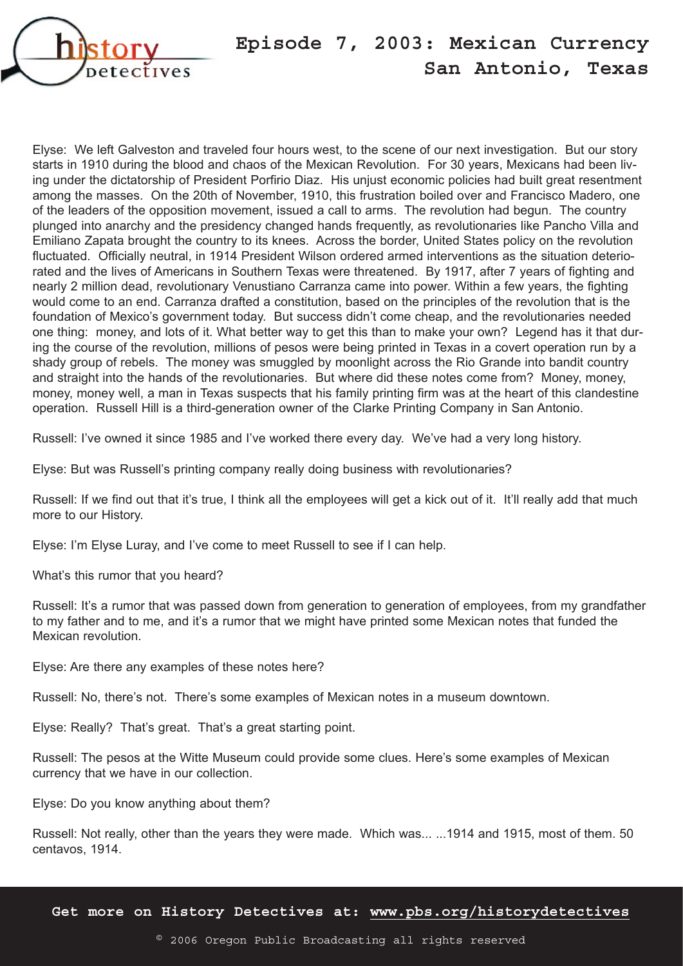

## **Episode 7, 2003: Mexican Currency San Antonio, Texas**

Elyse: We left Galveston and traveled four hours west, to the scene of our next investigation. But our story starts in 1910 during the blood and chaos of the Mexican Revolution. For 30 years, Mexicans had been living under the dictatorship of President Porfirio Diaz. His unjust economic policies had built great resentment among the masses. On the 20th of November, 1910, this frustration boiled over and Francisco Madero, one of the leaders of the opposition movement, issued a call to arms. The revolution had begun. The country plunged into anarchy and the presidency changed hands frequently, as revolutionaries like Pancho Villa and Emiliano Zapata brought the country to its knees. Across the border, United States policy on the revolution fluctuated. Officially neutral, in 1914 President Wilson ordered armed interventions as the situation deteriorated and the lives of Americans in Southern Texas were threatened. By 1917, after 7 years of fighting and nearly 2 million dead, revolutionary Venustiano Carranza came into power. Within a few years, the fighting would come to an end. Carranza drafted a constitution, based on the principles of the revolution that is the foundation of Mexico's government today. But success didn't come cheap, and the revolutionaries needed one thing: money, and lots of it. What better way to get this than to make your own? Legend has it that during the course of the revolution, millions of pesos were being printed in Texas in a covert operation run by a shady group of rebels. The money was smuggled by moonlight across the Rio Grande into bandit country and straight into the hands of the revolutionaries. But where did these notes come from? Money, money, money, money well, a man in Texas suspects that his family printing firm was at the heart of this clandestine operation. Russell Hill is a third-generation owner of the Clarke Printing Company in San Antonio.

Russell: I've owned it since 1985 and I've worked there every day. We've had a very long history.

Elyse: But was Russell's printing company really doing business with revolutionaries?

Russell: If we find out that it's true, I think all the employees will get a kick out of it. It'll really add that much more to our History.

Elyse: I'm Elyse Luray, and I've come to meet Russell to see if I can help.

What's this rumor that you heard?

Russell: It's a rumor that was passed down from generation to generation of employees, from my grandfather to my father and to me, and it's a rumor that we might have printed some Mexican notes that funded the Mexican revolution.

Elyse: Are there any examples of these notes here?

Russell: No, there's not. There's some examples of Mexican notes in a museum downtown.

Elyse: Really? That's great. That's a great starting point.

Russell: The pesos at the Witte Museum could provide some clues. Here's some examples of Mexican currency that we have in our collection.

Elyse: Do you know anything about them?

Russell: Not really, other than the years they were made. Which was... ...1914 and 1915, most of them. 50 centavos, 1914.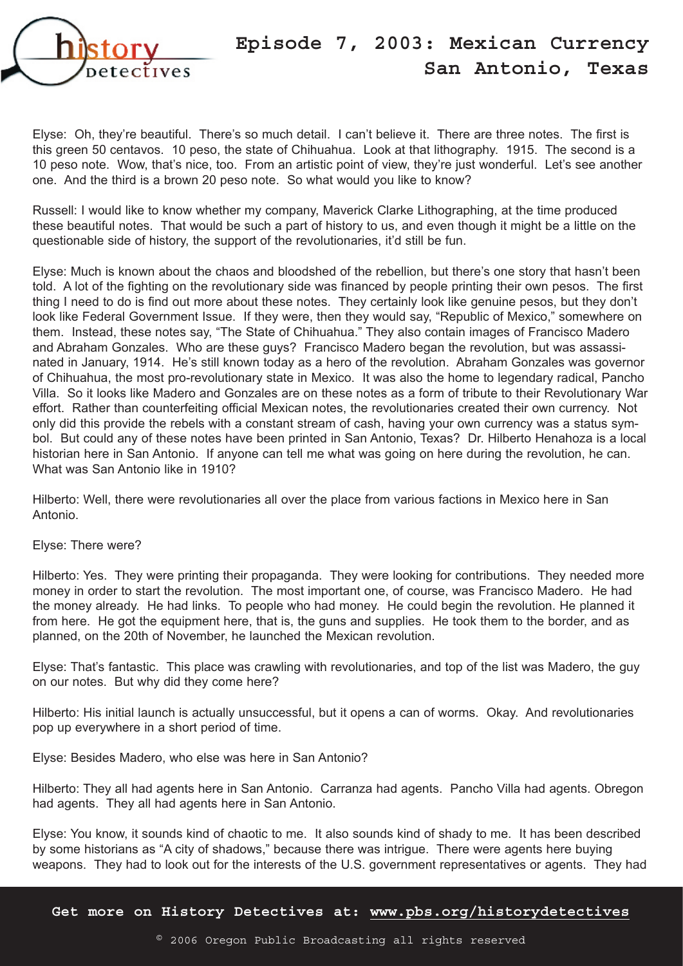

## **Episode 7, 2003: Mexican Currency San Antonio, Texas**

Elyse: Oh, they're beautiful. There's so much detail. I can't believe it. There are three notes. The first is this green 50 centavos. 10 peso, the state of Chihuahua. Look at that lithography. 1915. The second is a 10 peso note. Wow, that's nice, too. From an artistic point of view, they're just wonderful. Let's see another one. And the third is a brown 20 peso note. So what would you like to know?

Russell: I would like to know whether my company, Maverick Clarke Lithographing, at the time produced these beautiful notes. That would be such a part of history to us, and even though it might be a little on the questionable side of history, the support of the revolutionaries, it'd still be fun.

Elyse: Much is known about the chaos and bloodshed of the rebellion, but there's one story that hasn't been told. A lot of the fighting on the revolutionary side was financed by people printing their own pesos. The first thing I need to do is find out more about these notes. They certainly look like genuine pesos, but they don't look like Federal Government Issue. If they were, then they would say, "Republic of Mexico," somewhere on them. Instead, these notes say, "The State of Chihuahua." They also contain images of Francisco Madero and Abraham Gonzales. Who are these guys? Francisco Madero began the revolution, but was assassinated in January, 1914. He's still known today as a hero of the revolution. Abraham Gonzales was governor of Chihuahua, the most pro-revolutionary state in Mexico. It was also the home to legendary radical, Pancho Villa. So it looks like Madero and Gonzales are on these notes as a form of tribute to their Revolutionary War effort. Rather than counterfeiting official Mexican notes, the revolutionaries created their own currency. Not only did this provide the rebels with a constant stream of cash, having your own currency was a status symbol. But could any of these notes have been printed in San Antonio, Texas? Dr. Hilberto Henahoza is a local historian here in San Antonio. If anyone can tell me what was going on here during the revolution, he can. What was San Antonio like in 1910?

Hilberto: Well, there were revolutionaries all over the place from various factions in Mexico here in San Antonio.

Elyse: There were?

Hilberto: Yes. They were printing their propaganda. They were looking for contributions. They needed more money in order to start the revolution. The most important one, of course, was Francisco Madero. He had the money already. He had links. To people who had money. He could begin the revolution. He planned it from here. He got the equipment here, that is, the guns and supplies. He took them to the border, and as planned, on the 20th of November, he launched the Mexican revolution.

Elyse: That's fantastic. This place was crawling with revolutionaries, and top of the list was Madero, the guy on our notes. But why did they come here?

Hilberto: His initial launch is actually unsuccessful, but it opens a can of worms. Okay. And revolutionaries pop up everywhere in a short period of time.

Elyse: Besides Madero, who else was here in San Antonio?

Hilberto: They all had agents here in San Antonio. Carranza had agents. Pancho Villa had agents. Obregon had agents. They all had agents here in San Antonio.

Elyse: You know, it sounds kind of chaotic to me. It also sounds kind of shady to me. It has been described by some historians as "A city of shadows," because there was intrigue. There were agents here buying weapons. They had to look out for the interests of the U.S. government representatives or agents. They had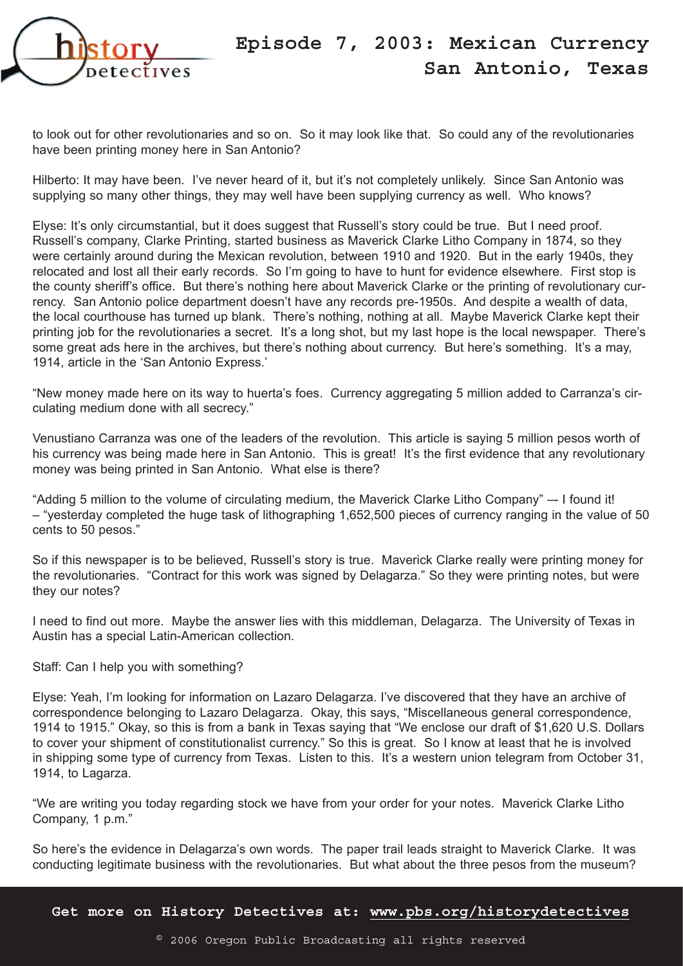

to look out for other revolutionaries and so on. So it may look like that. So could any of the revolutionaries have been printing money here in San Antonio?

Hilberto: It may have been. I've never heard of it, but it's not completely unlikely. Since San Antonio was supplying so many other things, they may well have been supplying currency as well. Who knows?

Elyse: It's only circumstantial, but it does suggest that Russell's story could be true. But I need proof. Russell's company, Clarke Printing, started business as Maverick Clarke Litho Company in 1874, so they were certainly around during the Mexican revolution, between 1910 and 1920. But in the early 1940s, they relocated and lost all their early records. So I'm going to have to hunt for evidence elsewhere. First stop is the county sheriff's office. But there's nothing here about Maverick Clarke or the printing of revolutionary currency. San Antonio police department doesn't have any records pre-1950s. And despite a wealth of data, the local courthouse has turned up blank. There's nothing, nothing at all. Maybe Maverick Clarke kept their printing job for the revolutionaries a secret. It's a long shot, but my last hope is the local newspaper. There's some great ads here in the archives, but there's nothing about currency. But here's something. It's a may, 1914, article in the 'San Antonio Express.'

"New money made here on its way to huerta's foes. Currency aggregating 5 million added to Carranza's circulating medium done with all secrecy."

Venustiano Carranza was one of the leaders of the revolution. This article is saying 5 million pesos worth of his currency was being made here in San Antonio. This is great! It's the first evidence that any revolutionary money was being printed in San Antonio. What else is there?

"Adding 5 million to the volume of circulating medium, the Maverick Clarke Litho Company" –- I found it! – "yesterday completed the huge task of lithographing 1,652,500 pieces of currency ranging in the value of 50 cents to 50 pesos."

So if this newspaper is to be believed, Russell's story is true. Maverick Clarke really were printing money for the revolutionaries. "Contract for this work was signed by Delagarza." So they were printing notes, but were they our notes?

I need to find out more. Maybe the answer lies with this middleman, Delagarza. The University of Texas in Austin has a special Latin-American collection.

## Staff: Can I help you with something?

Elyse: Yeah, I'm looking for information on Lazaro Delagarza. I've discovered that they have an archive of correspondence belonging to Lazaro Delagarza. Okay, this says, "Miscellaneous general correspondence, 1914 to 1915." Okay, so this is from a bank in Texas saying that "We enclose our draft of \$1,620 U.S. Dollars to cover your shipment of constitutionalist currency." So this is great. So I know at least that he is involved in shipping some type of currency from Texas. Listen to this. It's a western union telegram from October 31, 1914, to Lagarza.

"We are writing you today regarding stock we have from your order for your notes. Maverick Clarke Litho Company, 1 p.m."

So here's the evidence in Delagarza's own words. The paper trail leads straight to Maverick Clarke. It was conducting legitimate business with the revolutionaries. But what about the three pesos from the museum?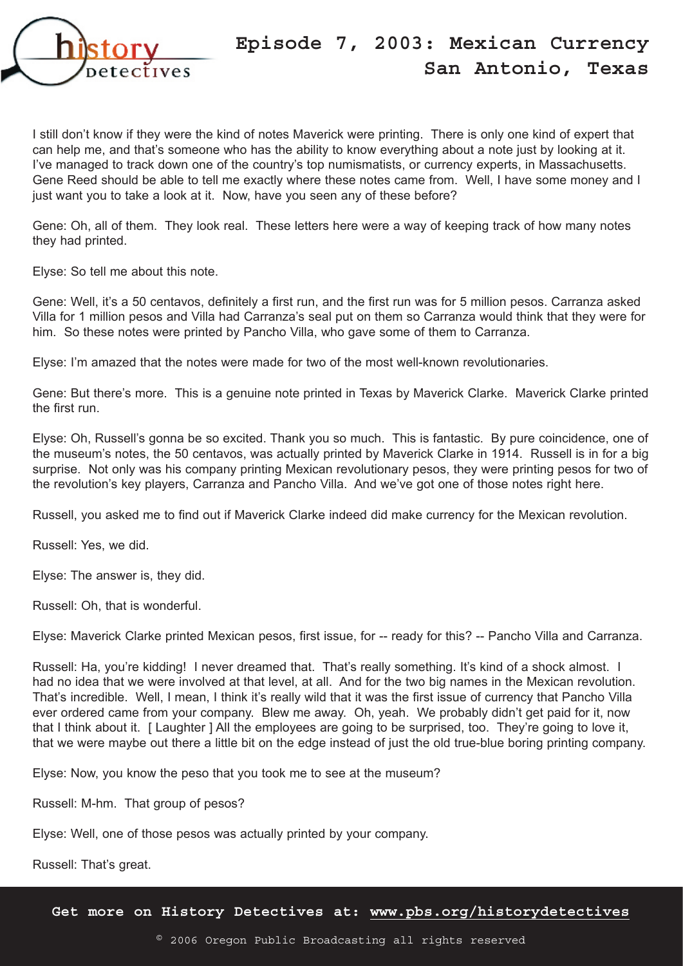

I still don't know if they were the kind of notes Maverick were printing. There is only one kind of expert that can help me, and that's someone who has the ability to know everything about a note just by looking at it. I've managed to track down one of the country's top numismatists, or currency experts, in Massachusetts. Gene Reed should be able to tell me exactly where these notes came from. Well, I have some money and I just want you to take a look at it. Now, have you seen any of these before?

Gene: Oh, all of them. They look real. These letters here were a way of keeping track of how many notes they had printed.

Elyse: So tell me about this note.

Gene: Well, it's a 50 centavos, definitely a first run, and the first run was for 5 million pesos. Carranza asked Villa for 1 million pesos and Villa had Carranza's seal put on them so Carranza would think that they were for him. So these notes were printed by Pancho Villa, who gave some of them to Carranza.

Elyse: I'm amazed that the notes were made for two of the most well-known revolutionaries.

Gene: But there's more. This is a genuine note printed in Texas by Maverick Clarke. Maverick Clarke printed the first run.

Elyse: Oh, Russell's gonna be so excited. Thank you so much. This is fantastic. By pure coincidence, one of the museum's notes, the 50 centavos, was actually printed by Maverick Clarke in 1914. Russell is in for a big surprise. Not only was his company printing Mexican revolutionary pesos, they were printing pesos for two of the revolution's key players, Carranza and Pancho Villa. And we've got one of those notes right here.

Russell, you asked me to find out if Maverick Clarke indeed did make currency for the Mexican revolution.

Russell: Yes, we did.

Elyse: The answer is, they did.

Russell: Oh, that is wonderful.

Elyse: Maverick Clarke printed Mexican pesos, first issue, for -- ready for this? -- Pancho Villa and Carranza.

Russell: Ha, you're kidding! I never dreamed that. That's really something. It's kind of a shock almost. I had no idea that we were involved at that level, at all. And for the two big names in the Mexican revolution. That's incredible. Well, I mean, I think it's really wild that it was the first issue of currency that Pancho Villa ever ordered came from your company. Blew me away. Oh, yeah. We probably didn't get paid for it, now that I think about it. [ Laughter ] All the employees are going to be surprised, too. They're going to love it, that we were maybe out there a little bit on the edge instead of just the old true-blue boring printing company.

Elyse: Now, you know the peso that you took me to see at the museum?

Russell: M-hm. That group of pesos?

Elyse: Well, one of those pesos was actually printed by your company.

Russell: That's great.